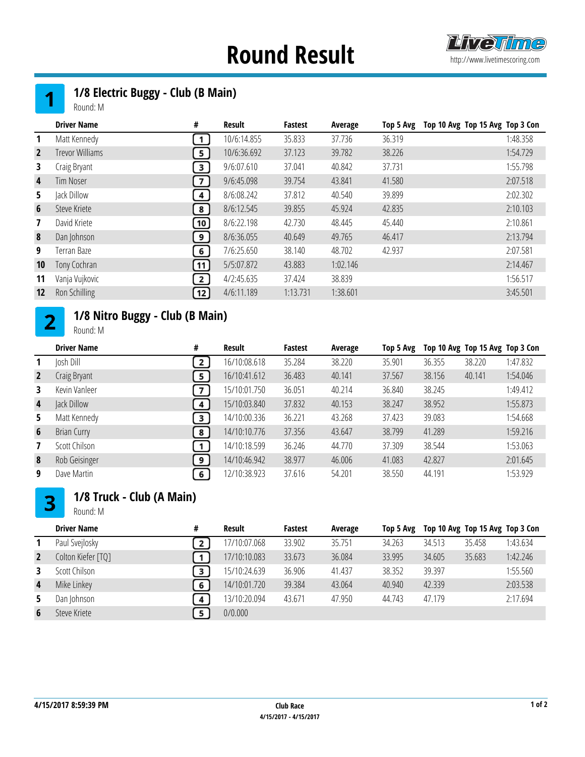## **Round Result Examplement Round Result**





Round: M

|                | <b>Driver Name</b>     | #                 | Result      | <b>Fastest</b> | Average  | Top 5 Avg | Top 10 Avg Top 15 Avg Top 3 Con |
|----------------|------------------------|-------------------|-------------|----------------|----------|-----------|---------------------------------|
| 1              | Matt Kennedy           | 1                 | 10/6:14.855 | 35.833         | 37.736   | 36.319    | 1:48.358                        |
| $\overline{2}$ | <b>Trevor Williams</b> | 5 <sup>1</sup>    | 10/6:36.692 | 37.123         | 39.782   | 38.226    | 1:54.729                        |
| 3              | Craig Bryant           | $\mathbf{3}$      | 9/6:07.610  | 37.041         | 40.842   | 37.731    | 1:55.798                        |
| 4              | <b>Tim Noser</b>       | 7 <sup>1</sup>    | 9/6:45.098  | 39.754         | 43.841   | 41.580    | 2:07.518                        |
| 5.             | Jack Dillow            | $\overline{4}$    | 8/6:08.242  | 37.812         | 40.540   | 39.899    | 2:02.302                        |
| 6              | Steve Kriete           | 8                 | 8/6:12.545  | 39.855         | 45.924   | 42.835    | 2:10.103                        |
| $\mathbf{7}$   | David Kriete           | 10                | 8/6:22.198  | 42.730         | 48.445   | 45.440    | 2:10.861                        |
| 8              | Dan Johnson            | 9 <sup>1</sup>    | 8/6:36.055  | 40.649         | 49.765   | 46.417    | 2:13.794                        |
| 9              | Terran Baze            | 6 <sup>1</sup>    | 7/6:25.650  | 38.140         | 48.702   | 42.937    | 2:07.581                        |
| 10             | Tony Cochran           | 11                | 5/5:07.872  | 43.883         | 1:02.146 |           | 2:14.467                        |
| 11             | Vanja Vujkovic         | 2                 | 4/2:45.635  | 37.424         | 38.839   |           | 1:56.517                        |
| 12             | Ron Schilling          | $\left(12\right)$ | 4/6:11.189  | 1:13.731       | 1:38.601 |           | 3:45.501                        |

#### 1/8 Nitro Buggy - Club (B Main)  $2<sup>1</sup>$

Round: M

|                         | <b>Driver Name</b> | #            | Result       | Fastest | Average | Top 5 Avg |        | Top 10 Avg Top 15 Avg Top 3 Con |          |
|-------------------------|--------------------|--------------|--------------|---------|---------|-----------|--------|---------------------------------|----------|
| 1                       | Josh Dill          | 2            | 16/10:08.618 | 35.284  | 38,220  | 35.901    | 36.355 | 38,220                          | 1:47.832 |
| $\overline{2}$          | Craig Bryant       | 5            | 16/10:41.612 | 36.483  | 40.141  | 37.567    | 38.156 | 40.141                          | 1:54.046 |
| 3                       | Kevin Vanleer      | 7            | 15/10:01.750 | 36.051  | 40.214  | 36.840    | 38.245 |                                 | 1:49.412 |
| 4                       | Jack Dillow        | 4            | 15/10:03.840 | 37.832  | 40.153  | 38.247    | 38.952 |                                 | 1:55.873 |
| 5.                      | Matt Kennedy       | $\mathbf{3}$ | 14/10:00.336 | 36.221  | 43.268  | 37.423    | 39.083 |                                 | 1:54.668 |
| 6                       | Brian Curry        | 8            | 14/10:10.776 | 37.356  | 43.647  | 38.799    | 41.289 |                                 | 1:59.216 |
| $\overline{\mathbf{z}}$ | Scott Chilson      | $\mathbf{1}$ | 14/10:18.599 | 36.246  | 44.770  | 37.309    | 38.544 |                                 | 1:53.063 |
| 8                       | Rob Geisinger      | 9            | 14/10:46.942 | 38.977  | 46.006  | 41.083    | 42.827 |                                 | 2:01.645 |
| 9                       | Dave Martin        | 6            | 12/10:38.923 | 37.616  | 54.201  | 38.550    | 44.191 |                                 | 1:53.929 |

### 1/8 Truck - Club (A Main)  $3<sup>1</sup>$

Round: M

|   | <b>Driver Name</b> | # | Result       | <b>Fastest</b> | Average | Top 5 Avg |        | Top 10 Avg Top 15 Avg Top 3 Con |          |
|---|--------------------|---|--------------|----------------|---------|-----------|--------|---------------------------------|----------|
|   | Paul Svejlosky     |   | 17/10:07.068 | 33.902         | 35.751  | 34.263    | 34.513 | 35.458                          | 1:43.634 |
|   | Colton Kiefer [TQ] |   | 17/10:10.083 | 33.673         | 36.084  | 33.995    | 34.605 | 35.683                          | 1:42.246 |
|   | Scott Chilson      | з | 15/10:24.639 | 36.906         | 41.437  | 38.352    | 39.397 |                                 | 1:55.560 |
| 4 | Mike Linkey        | 6 | 14/10:01.720 | 39.384         | 43.064  | 40.940    | 42.339 |                                 | 2:03.538 |
|   | Dan Johnson        | 4 | 13/10:20.094 | 43.671         | 47.950  | 44.743    | 47.179 |                                 | 2:17.694 |
| 6 | Steve Kriete       | 5 | 0/0.000      |                |         |           |        |                                 |          |